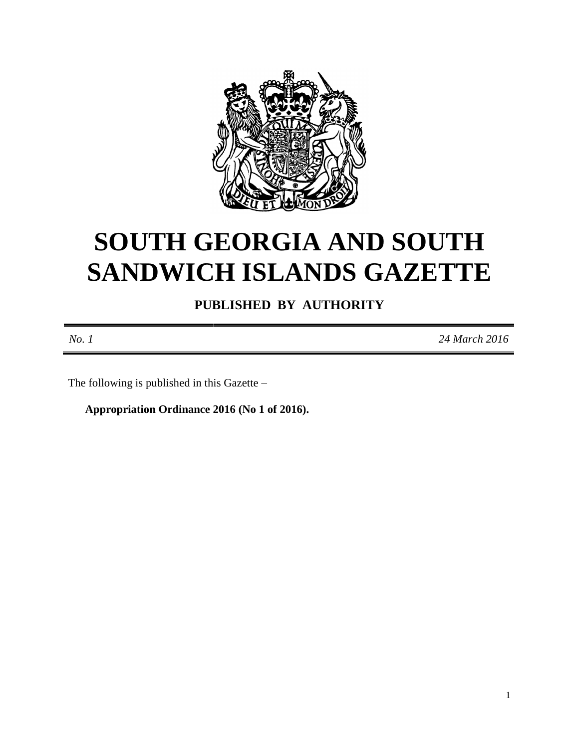

# **SOUTH GEORGIA AND SOUTH SANDWICH ISLANDS GAZETTE**

**PUBLISHED BY AUTHORITY**

*No. 1 24 March 2016*

The following is published in this Gazette –

**Appropriation Ordinance 2016 (No 1 of 2016).**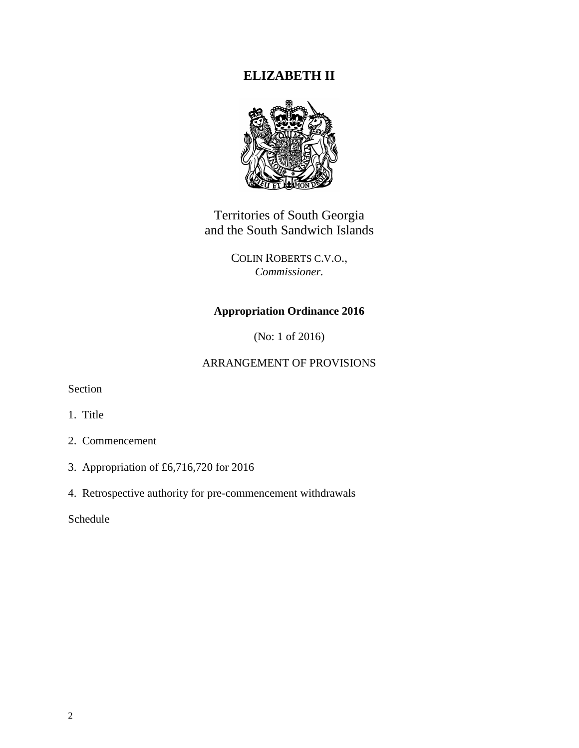# **ELIZABETH II**



Territories of South Georgia and the South Sandwich Islands

> COLIN ROBERTS C.V.O., *Commissioner.*

# **Appropriation Ordinance 2016**

(No: 1 of 2016)

### ARRANGEMENT OF PROVISIONS

Section

- 1. Title
- 2. Commencement
- 3. Appropriation of £6,716,720 for 2016
- 4. Retrospective authority for pre-commencement withdrawals

Schedule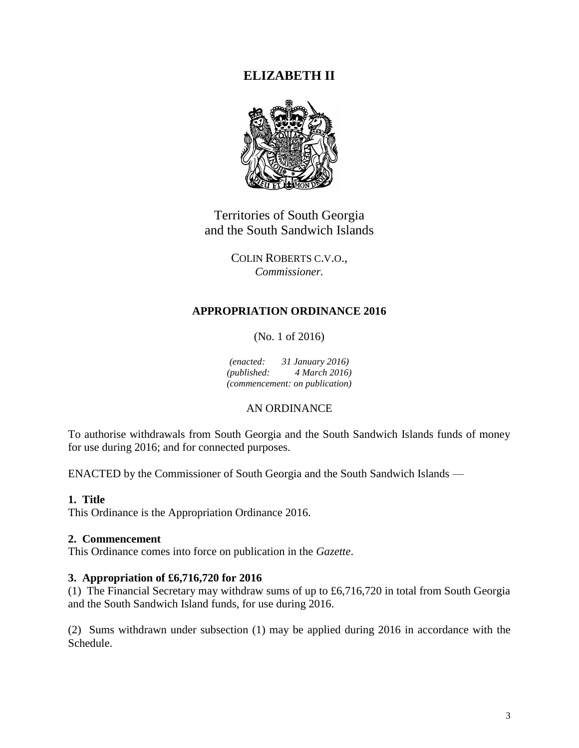# **ELIZABETH II**



Territories of South Georgia and the South Sandwich Islands

> COLIN ROBERTS C.V.O., *Commissioner.*

# **APPROPRIATION ORDINANCE 2016**

(No. 1 of 2016)

*(enacted: 31 January 2016) (published: 4 March 2016) (commencement: on publication)*

# AN ORDINANCE

To authorise withdrawals from South Georgia and the South Sandwich Islands funds of money for use during 2016; and for connected purposes.

ENACTED by the Commissioner of South Georgia and the South Sandwich Islands —

# **1. Title**

This Ordinance is the Appropriation Ordinance 2016.

#### **2. Commencement**

This Ordinance comes into force on publication in the *Gazette*.

### **3. Appropriation of £6,716,720 for 2016**

(1) The Financial Secretary may withdraw sums of up to £6,716,720 in total from South Georgia and the South Sandwich Island funds, for use during 2016.

(2) Sums withdrawn under subsection (1) may be applied during 2016 in accordance with the Schedule.